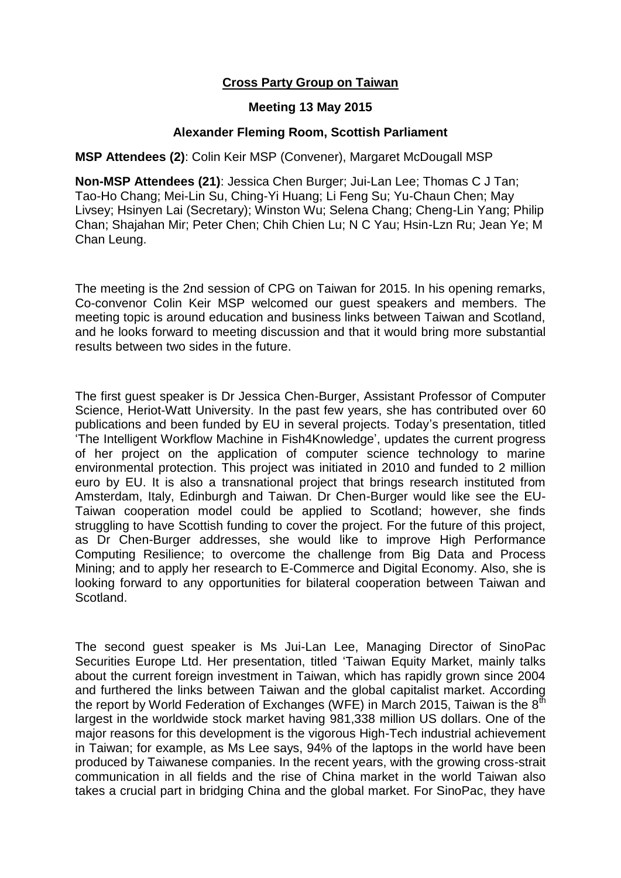## **Cross Party Group on Taiwan**

## **Meeting 13 May 2015**

## **Alexander Fleming Room, Scottish Parliament**

## **MSP Attendees (2)**: Colin Keir MSP (Convener), Margaret McDougall MSP

**Non-MSP Attendees (21)**: Jessica Chen Burger; Jui-Lan Lee; Thomas C J Tan; Tao-Ho Chang; Mei-Lin Su, Ching-Yi Huang; Li Feng Su; Yu-Chaun Chen; May Livsey; Hsinyen Lai (Secretary); Winston Wu; Selena Chang; Cheng-Lin Yang; Philip Chan; Shajahan Mir; Peter Chen; Chih Chien Lu; N C Yau; Hsin-Lzn Ru; Jean Ye; M Chan Leung.

The meeting is the 2nd session of CPG on Taiwan for 2015. In his opening remarks, Co-convenor Colin Keir MSP welcomed our guest speakers and members. The meeting topic is around education and business links between Taiwan and Scotland, and he looks forward to meeting discussion and that it would bring more substantial results between two sides in the future.

The first guest speaker is Dr Jessica Chen-Burger, Assistant Professor of Computer Science, Heriot-Watt University. In the past few years, she has contributed over 60 publications and been funded by EU in several projects. Today's presentation, titled 'The Intelligent Workflow Machine in Fish4Knowledge', updates the current progress of her project on the application of computer science technology to marine environmental protection. This project was initiated in 2010 and funded to 2 million euro by EU. It is also a transnational project that brings research instituted from Amsterdam, Italy, Edinburgh and Taiwan. Dr Chen-Burger would like see the EU-Taiwan cooperation model could be applied to Scotland; however, she finds struggling to have Scottish funding to cover the project. For the future of this project, as Dr Chen-Burger addresses, she would like to improve High Performance Computing Resilience; to overcome the challenge from Big Data and Process Mining; and to apply her research to E-Commerce and Digital Economy. Also, she is looking forward to any opportunities for bilateral cooperation between Taiwan and Scotland.

The second guest speaker is Ms Jui-Lan Lee, Managing Director of SinoPac Securities Europe Ltd. Her presentation, titled 'Taiwan Equity Market, mainly talks about the current foreign investment in Taiwan, which has rapidly grown since 2004 and furthered the links between Taiwan and the global capitalist market. According the report by World Federation of Exchanges (WFE) in March 2015, Taiwan is the  $8<sup>th</sup>$ largest in the worldwide stock market having 981,338 million US dollars. One of the major reasons for this development is the vigorous High-Tech industrial achievement in Taiwan; for example, as Ms Lee says, 94% of the laptops in the world have been produced by Taiwanese companies. In the recent years, with the growing cross-strait communication in all fields and the rise of China market in the world Taiwan also takes a crucial part in bridging China and the global market. For SinoPac, they have